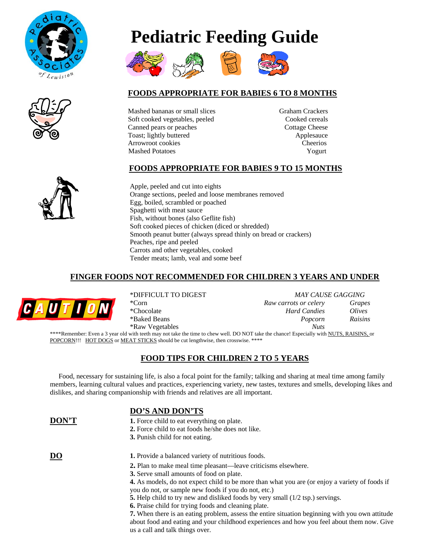









# **FOODS APPROPRIATE FOR BABIES 6 TO 8 MONTHS**

Mashed bananas or small slices Graham Crackers Soft cooked vegetables, peeled Cooked cereals Canned pears or peaches Cottage Cheese Toast; lightly buttered Applesauce Arrowroot cookies Cheerios Mashed Potatoes **Yogurt** 

# **FOODS APPROPRIATE FOR BABIES 9 TO 15 MONTHS**

Apple, peeled and cut into eights Orange sections, peeled and loose membranes removed Egg, boiled, scrambled or poached Spaghetti with meat sauce Fish, without bones (also Geflite fish) Soft cooked pieces of chicken (diced or shredded) Smooth peanut butter (always spread thinly on bread or crackers) Peaches, ripe and peeled Carrots and other vegetables, cooked Tender meats; lamb, veal and some beef

# **FINGER FOODS NOT RECOMMENDED FOR CHILDREN 3 YEARS AND UNDER**



 \*DIFFICULT TO DIGEST *MAY CAUSE GAGGING* \*Corn *Raw carrots or celery Grapes* \*Chocolate *Hard Candies Olives*  \*Baked Beans *Popcorn Raisins* \*Raw Vegetables *Nuts* \*\*\*\*Remember: Even a 3 year old with teeth may not take the time to chew well. DO NOT take the chance! Especially with NUTS, RAISINS, or

POPCORN!!! HOT DOGS or MEAT STICKS should be cut lengthwise, then crosswise. \*\*\*\*

### **FOOD TIPS FOR CHILDREN 2 TO 5 YEARS**

 Food, necessary for sustaining life, is also a focal point for the family; talking and sharing at meal time among family members, learning cultural values and practices, experiencing variety, new tastes, textures and smells, developing likes and dislikes, and sharing companionship with friends and relatives are all important.

#### **DO'S AND DON'TS**

| DON'T           | <b>1.</b> Force child to eat everything on plate.<br><b>2.</b> Force child to eat foods he/she does not like.<br><b>3.</b> Punish child for not eating. |
|-----------------|---------------------------------------------------------------------------------------------------------------------------------------------------------|
| $\overline{D}O$ | 1. Provide a balanced variety of nutritious foods.                                                                                                      |
|                 | <b>2.</b> Plan to make meal time pleasant—leave criticisms elsewhere.                                                                                   |
|                 | 3. Serve small amounts of food on plate.                                                                                                                |
|                 | 4. As models, do not expect child to be more than what you are (or enjoy a variety of foods if                                                          |
|                 | you do not, or sample new foods if you do not, etc.)                                                                                                    |
|                 | <b>5.</b> Help child to try new and disliked foods by very small (1/2 tsp.) servings.                                                                   |
|                 | 6. Praise child for trying foods and cleaning plate.                                                                                                    |
|                 | 7. When there is an eating problem, assess the entire situation beginning with you own attitude                                                         |
|                 | about food and eating and your childhood experiences and how you feel about them now. Give                                                              |
|                 | us a call and talk things over.                                                                                                                         |

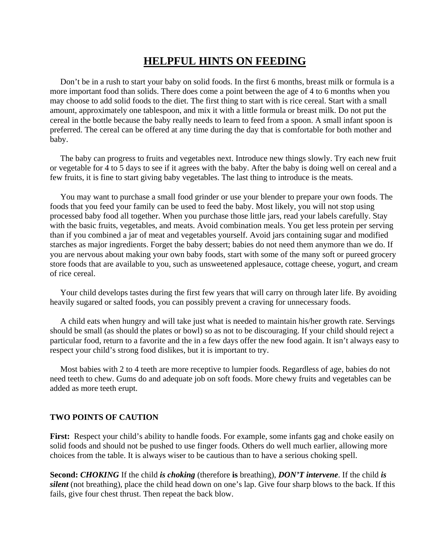# **HELPFUL HINTS ON FEEDING**

 Don't be in a rush to start your baby on solid foods. In the first 6 months, breast milk or formula is a more important food than solids. There does come a point between the age of 4 to 6 months when you may choose to add solid foods to the diet. The first thing to start with is rice cereal. Start with a small amount, approximately one tablespoon, and mix it with a little formula or breast milk. Do not put the cereal in the bottle because the baby really needs to learn to feed from a spoon. A small infant spoon is preferred. The cereal can be offered at any time during the day that is comfortable for both mother and baby.

 The baby can progress to fruits and vegetables next. Introduce new things slowly. Try each new fruit or vegetable for 4 to 5 days to see if it agrees with the baby. After the baby is doing well on cereal and a few fruits, it is fine to start giving baby vegetables. The last thing to introduce is the meats.

 You may want to purchase a small food grinder or use your blender to prepare your own foods. The foods that you feed your family can be used to feed the baby. Most likely, you will not stop using processed baby food all together. When you purchase those little jars, read your labels carefully. Stay with the basic fruits, vegetables, and meats. Avoid combination meals. You get less protein per serving than if you combined a jar of meat and vegetables yourself. Avoid jars containing sugar and modified starches as major ingredients. Forget the baby dessert; babies do not need them anymore than we do. If you are nervous about making your own baby foods, start with some of the many soft or pureed grocery store foods that are available to you, such as unsweetened applesauce, cottage cheese, yogurt, and cream of rice cereal.

 Your child develops tastes during the first few years that will carry on through later life. By avoiding heavily sugared or salted foods, you can possibly prevent a craving for unnecessary foods.

 A child eats when hungry and will take just what is needed to maintain his/her growth rate. Servings should be small (as should the plates or bowl) so as not to be discouraging. If your child should reject a particular food, return to a favorite and the in a few days offer the new food again. It isn't always easy to respect your child's strong food dislikes, but it is important to try.

 Most babies with 2 to 4 teeth are more receptive to lumpier foods. Regardless of age, babies do not need teeth to chew. Gums do and adequate job on soft foods. More chewy fruits and vegetables can be added as more teeth erupt.

#### **TWO POINTS OF CAUTION**

**First:** Respect your child's ability to handle foods. For example, some infants gag and choke easily on solid foods and should not be pushed to use finger foods. Others do well much earlier, allowing more choices from the table. It is always wiser to be cautious than to have a serious choking spell.

**Second:** *CHOKING* If the child *is choking* (therefore **is** breathing), *DON'T intervene*. If the child *is silent* (not breathing), place the child head down on one's lap. Give four sharp blows to the back. If this fails, give four chest thrust. Then repeat the back blow.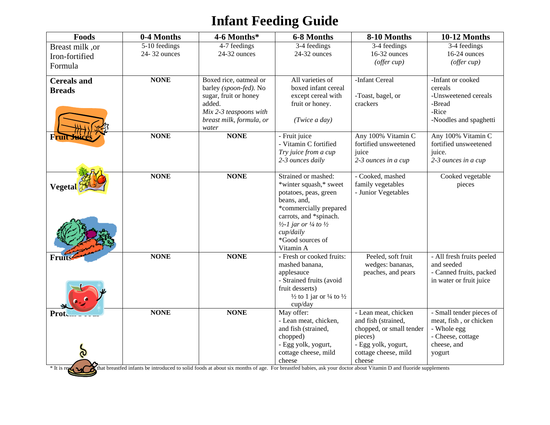# **Infant Feeding Guide**

| <b>Foods</b>                        | 0-4 Months    | 4-6 Months*                                                 | 6-8 Months                                                                       | 8-10 Months                                                  | 10-12 Months                                          |
|-------------------------------------|---------------|-------------------------------------------------------------|----------------------------------------------------------------------------------|--------------------------------------------------------------|-------------------------------------------------------|
| Breast milk, or                     | 5-10 feedings | 4-7 feedings                                                | 3-4 feedings                                                                     | 3-4 feedings                                                 | 3-4 feedings                                          |
| Iron-fortified                      | 24-32 ounces  | 24-32 ounces                                                | 24-32 ounces                                                                     | 16-32 ounces                                                 | 16-24 ounces                                          |
| Formula                             |               |                                                             |                                                                                  | (offer cup)                                                  | (offer cup)                                           |
| <b>Cereals and</b><br><b>Breads</b> | <b>NONE</b>   | Boxed rice, oatmeal or<br>barley (spoon-fed). No            | All varieties of<br>boxed infant cereal                                          | -Infant Cereal                                               | -Infant or cooked<br>cereals                          |
|                                     |               | sugar, fruit or honey<br>added.                             | except cereal with<br>fruit or honey.                                            | -Toast, bagel, or<br>crackers                                | -Unsweetened cereals<br>-Bread                        |
|                                     |               | Mix 2-3 teaspoons with<br>breast milk, formula, or<br>water | (Twice a day)                                                                    |                                                              | -Rice<br>-Noodles and spaghetti                       |
|                                     | <b>NONE</b>   | <b>NONE</b>                                                 | - Fruit juice<br>- Vitamin C fortified<br>Try juice from a cup                   | Any 100% Vitamin C<br>fortified unsweetened<br>juice         | Any 100% Vitamin C<br>fortified unsweetened<br>juice. |
|                                     |               |                                                             | 2-3 ounces daily                                                                 | 2-3 ounces in a cup                                          | 2-3 ounces in a cup                                   |
| <b>Vegetal</b>                      | <b>NONE</b>   | <b>NONE</b>                                                 | Strained or mashed:<br>*winter squash,* sweet<br>potatoes, peas, green           | - Cooked, mashed<br>family vegetables<br>- Junior Vegetables | Cooked vegetable<br>pieces                            |
|                                     |               |                                                             | beans, and,<br>*commercially prepared                                            |                                                              |                                                       |
|                                     |               |                                                             | carrots, and *spinach.<br>$\frac{1}{2}$ -1 jar or $\frac{1}{4}$ to $\frac{1}{2}$ |                                                              |                                                       |
|                                     |               |                                                             | cup/daily<br>*Good sources of<br>Vitamin A                                       |                                                              |                                                       |
| <b>Fruits</b>                       | <b>NONE</b>   | <b>NONE</b>                                                 | - Fresh or cooked fruits:<br>mashed banana,                                      | Peeled, soft fruit<br>wedges: bananas,                       | - All fresh fruits peeled<br>and seeded               |
|                                     |               |                                                             | applesauce                                                                       | peaches, and pears                                           | - Canned fruits, packed                               |
|                                     |               |                                                             | - Strained fruits (avoid                                                         |                                                              | in water or fruit juice                               |
|                                     |               |                                                             | fruit desserts)                                                                  |                                                              |                                                       |
|                                     |               |                                                             | $\frac{1}{2}$ to 1 jar or $\frac{1}{4}$ to $\frac{1}{2}$<br>cup/day              |                                                              |                                                       |
| Prot                                | <b>NONE</b>   | <b>NONE</b>                                                 | May offer:                                                                       | - Lean meat, chicken                                         | - Small tender pieces of                              |
|                                     |               |                                                             | - Lean meat, chicken,                                                            | and fish (strained,                                          | meat, fish, or chicken                                |
|                                     |               |                                                             | and fish (strained,                                                              | chopped, or small tender                                     | - Whole egg                                           |
|                                     |               |                                                             | chopped)                                                                         | pieces)                                                      | - Cheese, cottage                                     |
|                                     |               |                                                             | - Egg yolk, yogurt,<br>cottage cheese, mild                                      | - Egg yolk, yogurt,<br>cottage cheese, mild                  | cheese, and                                           |
| $\mathbf{\Omega}$                   |               |                                                             | cheese                                                                           | cheese                                                       | yogurt                                                |
|                                     |               |                                                             |                                                                                  |                                                              |                                                       |

<sup>\*</sup> It is recommended that breastfed infants be introduced to solid foods at about six months of age. For breastfed babies, ask your doctor about Vitamin D and fluoride supplements